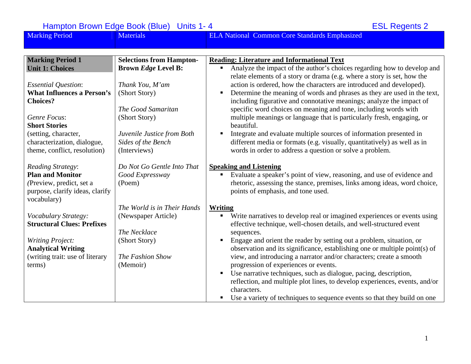| <b>Marking Period</b>                          | <b>Materials</b>                | <b>ELA National Common Core Standards Emphasized</b>                                                                                               |
|------------------------------------------------|---------------------------------|----------------------------------------------------------------------------------------------------------------------------------------------------|
|                                                |                                 |                                                                                                                                                    |
| <b>Marking Period 1</b>                        | <b>Selections from Hampton-</b> | <b>Reading: Literature and Informational Text</b>                                                                                                  |
| <b>Unit 1: Choices</b>                         | <b>Brown Edge Level B:</b>      | Analyze the impact of the author's choices regarding how to develop and<br>relate elements of a story or drama (e.g. where a story is set, how the |
| <b>Essential Question:</b>                     | Thank You, M'am                 | action is ordered, how the characters are introduced and developed).                                                                               |
| <b>What Influences a Person's</b>              | (Short Story)                   | Determine the meaning of words and phrases as they are used in the text,                                                                           |
| <b>Choices?</b>                                |                                 | including figurative and connotative meanings; analyze the impact of                                                                               |
|                                                | The Good Samaritan              | specific word choices on meaning and tone, including words with                                                                                    |
| Genre Focus:                                   | (Short Story)                   | multiple meanings or language that is particularly fresh, engaging, or                                                                             |
| <b>Short Stories</b>                           |                                 | beautiful.                                                                                                                                         |
| (setting, character,                           | Juvenile Justice from Both      | Integrate and evaluate multiple sources of information presented in                                                                                |
| characterization, dialogue,                    | Sides of the Bench              | different media or formats (e.g. visually, quantitatively) as well as in                                                                           |
| theme, conflict, resolution)                   | (Interviews)                    | words in order to address a question or solve a problem.                                                                                           |
| <b>Reading Strategy:</b>                       | Do Not Go Gentle Into That      | <b>Speaking and Listening</b>                                                                                                                      |
| <b>Plan and Monitor</b>                        | Good Expressway                 | Evaluate a speaker's point of view, reasoning, and use of evidence and                                                                             |
| (Preview, predict, set a                       | (Poem)                          | rhetoric, assessing the stance, premises, links among ideas, word choice,                                                                          |
| purpose, clarify ideas, clarify<br>vocabulary) |                                 | points of emphasis, and tone used.                                                                                                                 |
|                                                | The World is in Their Hands     | <b>Writing</b>                                                                                                                                     |
| Vocabulary Strategy:                           | (Newspaper Article)             | Write narratives to develop real or imagined experiences or events using<br>ш                                                                      |
| <b>Structural Clues: Prefixes</b>              |                                 | effective technique, well-chosen details, and well-structured event                                                                                |
|                                                | The Necklace                    | sequences.                                                                                                                                         |
| <b>Writing Project:</b>                        | (Short Story)                   | Engage and orient the reader by setting out a problem, situation, or                                                                               |
| <b>Analytical Writing</b>                      |                                 | observation and its significance, establishing one or multiple point(s) of                                                                         |
| (writing trait: use of literary                | The Fashion Show                | view, and introducing a narrator and/or characters; create a smooth                                                                                |
| terms)                                         | (Memoir)                        | progression of experiences or events.                                                                                                              |
|                                                |                                 | Use narrative techniques, such as dialogue, pacing, description,                                                                                   |
|                                                |                                 | reflection, and multiple plot lines, to develop experiences, events, and/or                                                                        |
|                                                |                                 | characters.                                                                                                                                        |
|                                                |                                 | Use a variety of techniques to sequence events so that they build on one                                                                           |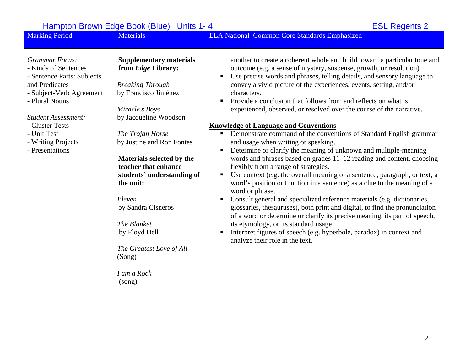| <b>Marking Period</b>                                                                                                                       | <b>Materials</b>                                                                                                                                                              | <b>ELA National Common Core Standards Emphasized</b>                                                                                                                                                                                                                                                                                                                                                                                                                                                                                                                                                                                                                                                                                                                                                                                                                        |
|---------------------------------------------------------------------------------------------------------------------------------------------|-------------------------------------------------------------------------------------------------------------------------------------------------------------------------------|-----------------------------------------------------------------------------------------------------------------------------------------------------------------------------------------------------------------------------------------------------------------------------------------------------------------------------------------------------------------------------------------------------------------------------------------------------------------------------------------------------------------------------------------------------------------------------------------------------------------------------------------------------------------------------------------------------------------------------------------------------------------------------------------------------------------------------------------------------------------------------|
|                                                                                                                                             |                                                                                                                                                                               |                                                                                                                                                                                                                                                                                                                                                                                                                                                                                                                                                                                                                                                                                                                                                                                                                                                                             |
| <b>Grammar Focus:</b><br>- Kinds of Sentences<br>- Sentence Parts: Subjects<br>and Predicates<br>- Subject-Verb Agreement<br>- Plural Nouns | <b>Supplementary materials</b><br>from Edge Library:<br><b>Breaking Through</b><br>by Francisco Jiménez                                                                       | another to create a coherent whole and build toward a particular tone and<br>outcome (e.g. a sense of mystery, suspense, growth, or resolution).<br>Use precise words and phrases, telling details, and sensory language to<br>convey a vivid picture of the experiences, events, setting, and/or<br>characters.                                                                                                                                                                                                                                                                                                                                                                                                                                                                                                                                                            |
| <b>Student Assessment:</b>                                                                                                                  | Miracle's Boys<br>by Jacqueline Woodson                                                                                                                                       | Provide a conclusion that follows from and reflects on what is<br>experienced, observed, or resolved over the course of the narrative.                                                                                                                                                                                                                                                                                                                                                                                                                                                                                                                                                                                                                                                                                                                                      |
| - Cluster Tests                                                                                                                             |                                                                                                                                                                               | <b>Knowledge of Language and Conventions</b>                                                                                                                                                                                                                                                                                                                                                                                                                                                                                                                                                                                                                                                                                                                                                                                                                                |
| - Unit Test<br>- Writing Projects<br>- Presentations                                                                                        | The Trojan Horse<br>by Justine and Ron Fontes<br>Materials selected by the<br>teacher that enhance<br>students' understanding of<br>the unit:<br>Eleven<br>by Sandra Cisneros | Demonstrate command of the conventions of Standard English grammar<br>and usage when writing or speaking.<br>Determine or clarify the meaning of unknown and multiple-meaning<br>п<br>words and phrases based on grades 11–12 reading and content, choosing<br>flexibly from a range of strategies.<br>Use context (e.g. the overall meaning of a sentence, paragraph, or text; a<br>word's position or function in a sentence) as a clue to the meaning of a<br>word or phrase.<br>Consult general and specialized reference materials (e.g. dictionaries,<br>glossaries, thesauruses), both print and digital, to find the pronunciation<br>of a word or determine or clarify its precise meaning, its part of speech,<br>its etymology, or its standard usage<br>Interpret figures of speech (e.g. hyperbole, paradox) in context and<br>analyze their role in the text. |
|                                                                                                                                             | The Blanket<br>by Floyd Dell<br>The Greatest Love of All<br>(Song)<br>I am a Rock<br>(song)                                                                                   |                                                                                                                                                                                                                                                                                                                                                                                                                                                                                                                                                                                                                                                                                                                                                                                                                                                                             |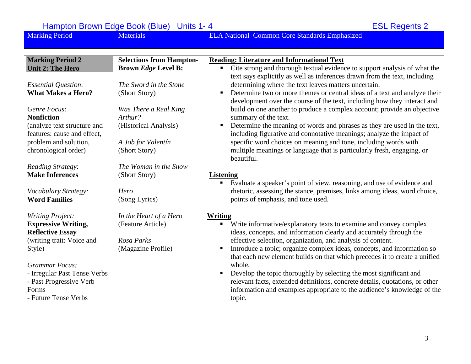| <b>Marking Period</b>        | <b>Materials</b>                | <b>ELA National Common Core Standards Emphasized</b>                                                                                                       |
|------------------------------|---------------------------------|------------------------------------------------------------------------------------------------------------------------------------------------------------|
|                              |                                 |                                                                                                                                                            |
| <b>Marking Period 2</b>      | <b>Selections from Hampton-</b> | <b>Reading: Literature and Informational Text</b>                                                                                                          |
| <b>Unit 2: The Hero</b>      | <b>Brown Edge Level B:</b>      | Cite strong and thorough textual evidence to support analysis of what the<br>٠                                                                             |
|                              |                                 | text says explicitly as well as inferences drawn from the text, including                                                                                  |
| <b>Essential Question:</b>   | The Sword in the Stone          | determining where the text leaves matters uncertain.                                                                                                       |
| <b>What Makes a Hero?</b>    | (Short Story)                   | Determine two or more themes or central ideas of a text and analyze their<br>п<br>development over the course of the text, including how they interact and |
| Genre Focus:                 | Was There a Real King           | build on one another to produce a complex account; provide an objective                                                                                    |
| <b>Nonfiction</b>            | Arthur?                         | summary of the text.                                                                                                                                       |
| (analyze text structure and  | (Historical Analysis)           | Determine the meaning of words and phrases as they are used in the text,<br>$\blacksquare$                                                                 |
| features: cause and effect,  |                                 | including figurative and connotative meanings; analyze the impact of                                                                                       |
| problem and solution,        | A Job for Valentín              | specific word choices on meaning and tone, including words with                                                                                            |
| chronological order)         | (Short Story)                   | multiple meanings or language that is particularly fresh, engaging, or                                                                                     |
|                              |                                 | beautiful.                                                                                                                                                 |
| Reading Strategy:            | The Woman in the Snow           |                                                                                                                                                            |
| <b>Make Inferences</b>       | (Short Story)                   | <b>Listening</b>                                                                                                                                           |
|                              |                                 | Evaluate a speaker's point of view, reasoning, and use of evidence and<br>ш                                                                                |
| Vocabulary Strategy:         | Hero                            | rhetoric, assessing the stance, premises, links among ideas, word choice,                                                                                  |
| <b>Word Families</b>         | (Song Lyrics)                   | points of emphasis, and tone used.                                                                                                                         |
| <b>Writing Project:</b>      | In the Heart of a Hero          | <b>Writing</b>                                                                                                                                             |
| <b>Expressive Writing,</b>   | (Feature Article)               | Write informative/explanatory texts to examine and convey complex                                                                                          |
| <b>Reflective Essay</b>      |                                 | ideas, concepts, and information clearly and accurately through the                                                                                        |
| (writing trait: Voice and    | Rosa Parks                      | effective selection, organization, and analysis of content.                                                                                                |
| Style)                       | (Magazine Profile)              | Introduce a topic; organize complex ideas, concepts, and information so<br>$\blacksquare$                                                                  |
|                              |                                 | that each new element builds on that which precedes it to create a unified                                                                                 |
| <b>Grammar Focus:</b>        |                                 | whole.                                                                                                                                                     |
| - Irregular Past Tense Verbs |                                 | Develop the topic thoroughly by selecting the most significant and                                                                                         |
| - Past Progressive Verb      |                                 | relevant facts, extended definitions, concrete details, quotations, or other                                                                               |
| Forms                        |                                 | information and examples appropriate to the audience's knowledge of the                                                                                    |
| - Future Tense Verbs         |                                 | topic.                                                                                                                                                     |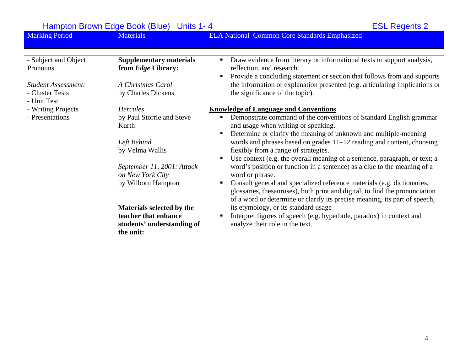| <b>Marking Period</b>                                                                                                                     | <b>Materials</b>                                                                                                                                                                                                                                                                                                                                                          | <b>ELA National Common Core Standards Emphasized</b>                                                                                                                                                                                                                                                                                                                                                                                                                                                                                                                                                                                                                                                                                                                                                                                                                                                                                                                                                                                                                                                                                                                                                                                                                       |
|-------------------------------------------------------------------------------------------------------------------------------------------|---------------------------------------------------------------------------------------------------------------------------------------------------------------------------------------------------------------------------------------------------------------------------------------------------------------------------------------------------------------------------|----------------------------------------------------------------------------------------------------------------------------------------------------------------------------------------------------------------------------------------------------------------------------------------------------------------------------------------------------------------------------------------------------------------------------------------------------------------------------------------------------------------------------------------------------------------------------------------------------------------------------------------------------------------------------------------------------------------------------------------------------------------------------------------------------------------------------------------------------------------------------------------------------------------------------------------------------------------------------------------------------------------------------------------------------------------------------------------------------------------------------------------------------------------------------------------------------------------------------------------------------------------------------|
|                                                                                                                                           |                                                                                                                                                                                                                                                                                                                                                                           |                                                                                                                                                                                                                                                                                                                                                                                                                                                                                                                                                                                                                                                                                                                                                                                                                                                                                                                                                                                                                                                                                                                                                                                                                                                                            |
| - Subject and Object<br>Pronouns<br><b>Student Assessment:</b><br>- Cluster Tests<br>- Unit Test<br>- Writing Projects<br>- Presentations | <b>Supplementary materials</b><br>from <i>Edge</i> Library:<br>A Christmas Carol<br>by Charles Dickens<br><b>Hercules</b><br>by Paul Storrie and Steve<br>Kurth<br>Left Behind<br>by Velma Wallis<br>September 11, 2001: Attack<br>on New York City<br>by Wilborn Hampton<br>Materials selected by the<br>teacher that enhance<br>students' understanding of<br>the unit: | Draw evidence from literary or informational texts to support analysis,<br>$\blacksquare$<br>reflection, and research.<br>Provide a concluding statement or section that follows from and supports<br>the information or explanation presented (e.g. articulating implications or<br>the significance of the topic).<br><b>Knowledge of Language and Conventions</b><br>Demonstrate command of the conventions of Standard English grammar<br>$\blacksquare$<br>and usage when writing or speaking.<br>Determine or clarify the meaning of unknown and multiple-meaning<br>words and phrases based on grades 11–12 reading and content, choosing<br>flexibly from a range of strategies.<br>Use context (e.g. the overall meaning of a sentence, paragraph, or text; a<br>word's position or function in a sentence) as a clue to the meaning of a<br>word or phrase.<br>Consult general and specialized reference materials (e.g. dictionaries,<br>٠<br>glossaries, thesauruses), both print and digital, to find the pronunciation<br>of a word or determine or clarify its precise meaning, its part of speech,<br>its etymology, or its standard usage<br>Interpret figures of speech (e.g. hyperbole, paradox) in context and<br>ш<br>analyze their role in the text. |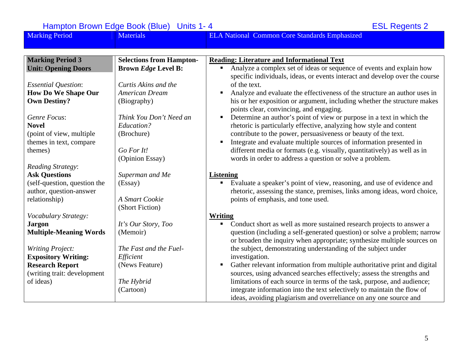Marking Period Materials Materials ELA National Common Core Standards Emphasized **Marking Period 3 Unit: Opening Doors**  *Essential Question*: **How Do We Shape Our Own Destiny?**  *Genre Focus*: **Novel** (point of view, multiple themes in text, compare themes) *Reading Strategy*: **Ask Questions** (self-question, question the author, question-answer relationship) *Vocabulary Strategy:*  **Jargon Multiple-Meaning Words**  *Writing Project:*  **Expository Writing: Research Report**  (writing trait: development of ideas) **Selections from Hampton-Brown** *Edge* **Level B:**  *Curtis Akins and the American Dream*(Biography) *Think You Don't Need an Education?* (Brochure) *Go For It!*(Opinion Essay) *Superman and Me*  (Essay) *A Smart Cookie* (Short Fiction) *It's Our Story, Too*  (Memoir) *The Fast and the Fuel-Efficient* (News Feature) *The Hybrid* (Cartoon) **Reading: Literature and Informational Text** ■ Analyze a complex set of ideas or sequence of events and explain how specific individuals, ideas, or events interact and develop over the course of the text. n Analyze and evaluate the effectiveness of the structure an author uses in his or her exposition or argument, including whether the structure makes points clear, convincing, and engaging. ■ Determine an author's point of view or purpose in a text in which the rhetoric is particularly effective, analyzing how style and content contribute to the power, persuasiveness or beauty of the text. Integrate and evaluate multiple sources of information presented in different media or formats (e.g. visually, quantitatively) as well as in words in order to address a question or solve a problem. **Listening**  $\blacksquare$  Evaluate a speaker's point of view, reasoning, and use of evidence and rhetoric, assessing the stance, premises, links among ideas, word choice, points of emphasis, and tone used. **Writing**  Conduct short as well as more sustained research projects to answer a question (including a self-generated question) or solve a problem; narrow or broaden the inquiry when appropriate; synthesize multiple sources on the subject, demonstrating understanding of the subject under investigation.  $\mathbf{u}$  . Gather relevant information from multiple authoritative print and digital sources, using advanced searches effectively; assess the strengths and limitations of each source in terms of the task, purpose, and audience; integrate information into the text selectively to maintain the flow of ideas, avoiding plagiarism and overreliance on any one source and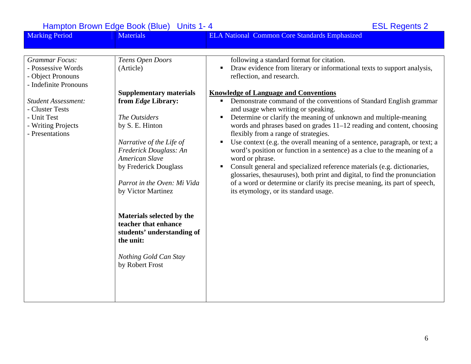Hampton Brown Edge Book (Blue) Units 1-4<br>
Marking Period Materials Materials English ELA National Common Core Standards Emphasized Materials **ELA National Common Core Standards Emphasized** *Grammar Focus:* - Possessive Words - Object Pronouns - Indefinite Pronouns *Student Assessment:* - Cluster Tests - Unit Test- Writing Projects - Presentations*Teens Open Doors*  (Article) **Supplementary materials from** *Edge* **Library:**  *[The Outsiders](http://www.ngsp.com/Portals/0/downloads/HSINZ.T2.TG.Outsiders.pdf)*by S. E. Hinton *Narrative of the Life of Frederick Dou[g](http://www.ngsp.com/Portals/0/downloads/HSINZ.T2.TG.Frederick.pdf)lass: An American Slave*[by Frederick Douglass](http://www.ngsp.com/Portals/0/downloads/HSINZ.T2.TG.Frederick.pdf)  *Parrot in the Oven: Mi Vida*[by Victor Martinez](http://www.ngsp.com/Portals/0/downloads/HSINZ.T2.TG.Parrot.pdf)  **Materials selected by the teacher that enhance students' understanding of the unit:** *Nothing Gold Can Stay* by Robert Frost following a standard format for citation.  $\mathbf{u}$  . Draw evidence from literary or informational texts to support analysis, reflection, and research. **Knowledge of Language and Conventions** Demonstrate command of the conventions of Standard English grammar and usage when writing or speaking. ■ Determine or clarify the meaning of unknown and multiple-meaning words and phrases based on grades 11–12 reading and content, choosing flexibly from a range of strategies. Use context (e.g. the overall meaning of a sentence, paragraph, or text; a word's position or function in a sentence) as a clue to the meaning of a word or phrase.  $\blacksquare$  Consult general and specialized reference materials (e.g. dictionaries, glossaries, thesauruses), both print and digital, to find the pronunciation of a word or determine or clarify its precise meaning, its part of speech, its etymology, or its standard usage.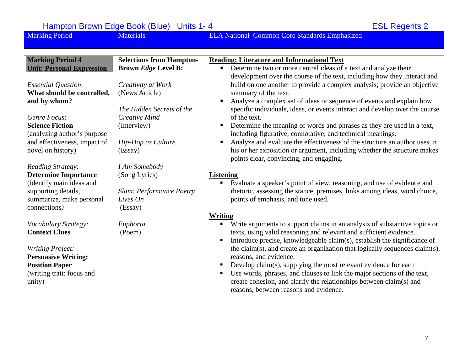| <b>Marking Period</b>                                                                                                                                                 | <b>Materials</b>                                                                  | <b>ELA National Common Core Standards Emphasized</b>                                                                                                                                                                                                                                                                                                                                                                                                                                                                                                                                                                     |
|-----------------------------------------------------------------------------------------------------------------------------------------------------------------------|-----------------------------------------------------------------------------------|--------------------------------------------------------------------------------------------------------------------------------------------------------------------------------------------------------------------------------------------------------------------------------------------------------------------------------------------------------------------------------------------------------------------------------------------------------------------------------------------------------------------------------------------------------------------------------------------------------------------------|
|                                                                                                                                                                       |                                                                                   |                                                                                                                                                                                                                                                                                                                                                                                                                                                                                                                                                                                                                          |
| <b>Marking Period 4</b><br><b>Unit: Personal Expression</b>                                                                                                           | <b>Selections from Hampton-</b><br><b>Brown Edge Level B:</b>                     | <b>Reading: Literature and Informational Text</b><br>Determine two or more central ideas of a text and analyze their<br>п.<br>development over the course of the text, including how they interact and                                                                                                                                                                                                                                                                                                                                                                                                                   |
| <b>Essential Question:</b><br>What should be controlled,<br>and by whom?                                                                                              | Creativity at Work<br>(News Article)<br>The Hidden Secrets of the                 | build on one another to provide a complex analysis; provide an objective<br>summary of the text.<br>Analyze a complex set of ideas or sequence of events and explain how<br>specific individuals, ideas, or events interact and develop over the course                                                                                                                                                                                                                                                                                                                                                                  |
| Genre Focus:<br><b>Science Fiction</b><br>(analyzing author's purpose<br>and effectiveness, impact of<br>novel on history)                                            | <b>Creative Mind</b><br>(Interview)<br><b>Hip-Hop as Culture</b><br>(Essay)       | of the text.<br>Determine the meaning of words and phrases as they are used in a text,<br>$\blacksquare$<br>including figurative, connotative, and technical meanings.<br>Analyze and evaluate the effectiveness of the structure an author uses in<br>his or her exposition or argument, including whether the structure makes<br>points clear, convincing, and engaging.                                                                                                                                                                                                                                               |
| Reading Strategy:<br><b>Determine Importance</b><br>(identify main ideas and<br>supporting details,<br>summarize, make personal<br>connections)                       | I Am Somebody<br>(Song Lyrics)<br>Slam: Performance Poetry<br>Lives On<br>(Essay) | <b>Listening</b><br>Evaluate a speaker's point of view, reasoning, and use of evidence and<br>п<br>rhetoric, assessing the stance, premises, links among ideas, word choice,<br>points of emphasis, and tone used.                                                                                                                                                                                                                                                                                                                                                                                                       |
| Vocabulary Strategy:<br><b>Context Clues</b><br><b>Writing Project:</b><br><b>Persuasive Writing:</b><br><b>Position Paper</b><br>(writing trait: focus and<br>unity) | Euphoria<br>(Poem)                                                                | Writing<br>Write arguments to support claims in an analysis of substantive topics or<br>ш<br>texts, using valid reasoning and relevant and sufficient evidence.<br>Introduce precise, knowledgeable claim(s), establish the significance of<br>the claim(s), and create an organization that logically sequences claim(s),<br>reasons, and evidence.<br>Develop claim(s), supplying the most relevant evidence for each<br>Use words, phrases, and clauses to link the major sections of the text,<br>٠<br>create cohesion, and clarify the relationships between claim(s) and<br>reasons, between reasons and evidence. |